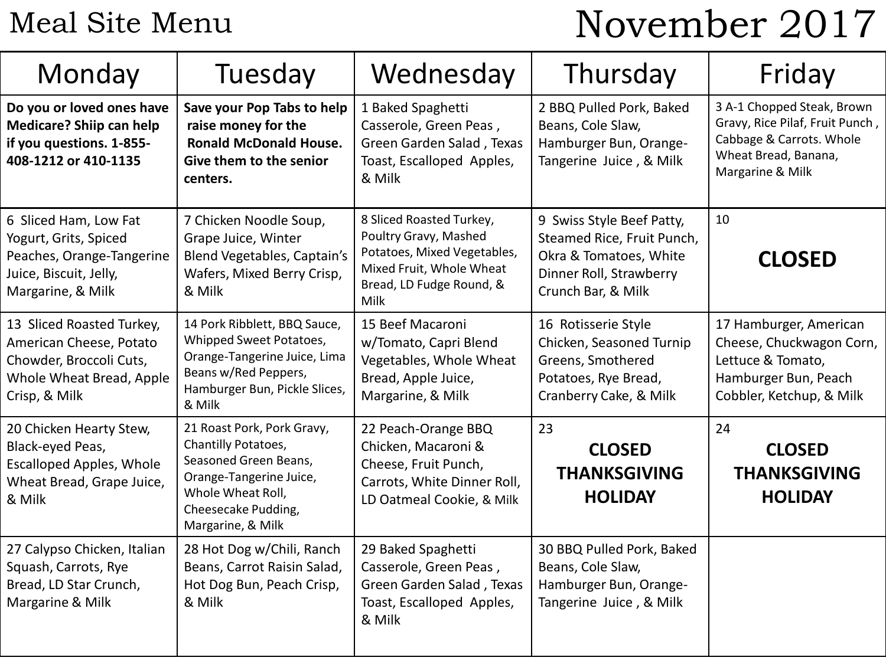## Meal Site Menu

# November 2017

| Monday                                                                                                                       | Tuesday                                                                                                                                                                | Wednesday                                                                                                                                        | Thursday                                                                                                                           | Friday                                                                                                                                |
|------------------------------------------------------------------------------------------------------------------------------|------------------------------------------------------------------------------------------------------------------------------------------------------------------------|--------------------------------------------------------------------------------------------------------------------------------------------------|------------------------------------------------------------------------------------------------------------------------------------|---------------------------------------------------------------------------------------------------------------------------------------|
| Do you or loved ones have<br><b>Medicare? Shiip can help</b><br>if you questions. 1-855-<br>408-1212 or 410-1135             | Save your Pop Tabs to help<br>raise money for the<br><b>Ronald McDonald House.</b><br>Give them to the senior<br>centers.                                              | 1 Baked Spaghetti<br>Casserole, Green Peas,<br>Green Garden Salad, Texas<br>Toast, Escalloped Apples,<br>& Milk                                  | 2 BBQ Pulled Pork, Baked<br>Beans, Cole Slaw,<br>Hamburger Bun, Orange-<br>Tangerine Juice, & Milk                                 | 3 A-1 Chopped Steak, Brown<br>Gravy, Rice Pilaf, Fruit Punch,<br>Cabbage & Carrots. Whole<br>Wheat Bread, Banana,<br>Margarine & Milk |
| 6 Sliced Ham, Low Fat<br>Yogurt, Grits, Spiced<br>Peaches, Orange-Tangerine<br>Juice, Biscuit, Jelly,<br>Margarine, & Milk   | 7 Chicken Noodle Soup,<br>Grape Juice, Winter<br>Blend Vegetables, Captain's<br>Wafers, Mixed Berry Crisp,<br>& Milk                                                   | 8 Sliced Roasted Turkey,<br>Poultry Gravy, Mashed<br>Potatoes, Mixed Vegetables,<br>Mixed Fruit, Whole Wheat<br>Bread, LD Fudge Round, &<br>Milk | 9 Swiss Style Beef Patty,<br>Steamed Rice, Fruit Punch,<br>Okra & Tomatoes, White<br>Dinner Roll, Strawberry<br>Crunch Bar, & Milk | 10<br><b>CLOSED</b>                                                                                                                   |
| 13 Sliced Roasted Turkey,<br>American Cheese, Potato<br>Chowder, Broccoli Cuts,<br>Whole Wheat Bread, Apple<br>Crisp, & Milk | 14 Pork Ribblett, BBQ Sauce,<br>Whipped Sweet Potatoes,<br>Orange-Tangerine Juice, Lima<br>Beans w/Red Peppers,<br>Hamburger Bun, Pickle Slices,<br>& Milk             | 15 Beef Macaroni<br>w/Tomato, Capri Blend<br>Vegetables, Whole Wheat<br>Bread, Apple Juice,<br>Margarine, & Milk                                 | 16 Rotisserie Style<br>Chicken, Seasoned Turnip<br>Greens, Smothered<br>Potatoes, Rye Bread,<br>Cranberry Cake, & Milk             | 17 Hamburger, American<br>Cheese, Chuckwagon Corn,<br>Lettuce & Tomato,<br>Hamburger Bun, Peach<br>Cobbler, Ketchup, & Milk           |
| 20 Chicken Hearty Stew,<br>Black-eyed Peas,<br><b>Escalloped Apples, Whole</b><br>Wheat Bread, Grape Juice,<br>& Milk        | 21 Roast Pork, Pork Gravy,<br>Chantilly Potatoes,<br>Seasoned Green Beans,<br>Orange-Tangerine Juice,<br>Whole Wheat Roll,<br>Cheesecake Pudding,<br>Margarine, & Milk | 22 Peach-Orange BBQ<br>Chicken, Macaroni &<br>Cheese, Fruit Punch,<br>Carrots, White Dinner Roll,<br>LD Oatmeal Cookie, & Milk                   | 23<br><b>CLOSED</b><br><b>THANKSGIVING</b><br><b>HOLIDAY</b>                                                                       | 24<br><b>CLOSED</b><br><b>THANKSGIVING</b><br><b>HOLIDAY</b>                                                                          |
| 27 Calypso Chicken, Italian<br>Squash, Carrots, Rye<br>Bread, LD Star Crunch,<br>Margarine & Milk                            | 28 Hot Dog w/Chili, Ranch<br>Beans, Carrot Raisin Salad,<br>Hot Dog Bun, Peach Crisp,<br>& Milk                                                                        | 29 Baked Spaghetti<br>Casserole, Green Peas,<br>Green Garden Salad, Texas<br>Toast, Escalloped Apples,<br>& Milk                                 | 30 BBQ Pulled Pork, Baked<br>Beans, Cole Slaw,<br>Hamburger Bun, Orange-<br>Tangerine Juice, & Milk                                |                                                                                                                                       |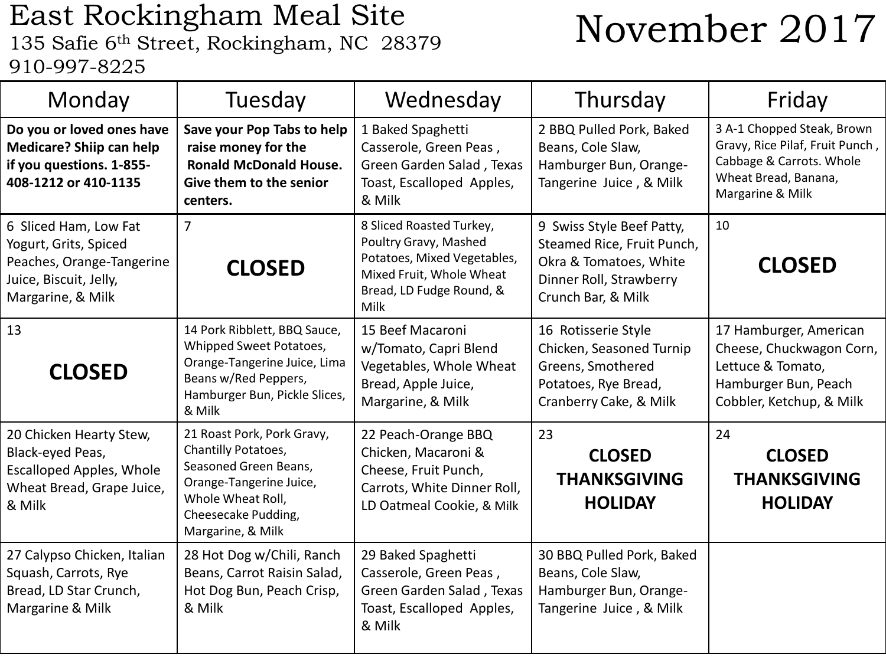### East Rockingham Meal Site East Rockingham Meal Site<br>135 Safie 6<sup>th</sup> Street, Rockingham, NC 28379 **November 2017** 910-997-8225

| Monday                                                                                                                     | Tuesday                                                                                                                                                                | Wednesday                                                                                                                                        | Thursday                                                                                                                           | Friday                                                                                                                                |
|----------------------------------------------------------------------------------------------------------------------------|------------------------------------------------------------------------------------------------------------------------------------------------------------------------|--------------------------------------------------------------------------------------------------------------------------------------------------|------------------------------------------------------------------------------------------------------------------------------------|---------------------------------------------------------------------------------------------------------------------------------------|
| Do you or loved ones have<br>Medicare? Shiip can help<br>if you questions. 1-855-<br>408-1212 or 410-1135                  | Save your Pop Tabs to help<br>raise money for the<br><b>Ronald McDonald House.</b><br>Give them to the senior<br>centers.                                              | 1 Baked Spaghetti<br>Casserole, Green Peas,<br>Green Garden Salad, Texas<br>Toast, Escalloped Apples,<br>& Milk                                  | 2 BBQ Pulled Pork, Baked<br>Beans, Cole Slaw,<br>Hamburger Bun, Orange-<br>Tangerine Juice, & Milk                                 | 3 A-1 Chopped Steak, Brown<br>Gravy, Rice Pilaf, Fruit Punch,<br>Cabbage & Carrots. Whole<br>Wheat Bread, Banana,<br>Margarine & Milk |
| 6 Sliced Ham, Low Fat<br>Yogurt, Grits, Spiced<br>Peaches, Orange-Tangerine<br>Juice, Biscuit, Jelly,<br>Margarine, & Milk | $\overline{7}$<br><b>CLOSED</b>                                                                                                                                        | 8 Sliced Roasted Turkey,<br>Poultry Gravy, Mashed<br>Potatoes, Mixed Vegetables,<br>Mixed Fruit, Whole Wheat<br>Bread, LD Fudge Round, &<br>Milk | 9 Swiss Style Beef Patty,<br>Steamed Rice, Fruit Punch,<br>Okra & Tomatoes, White<br>Dinner Roll, Strawberry<br>Crunch Bar, & Milk | 10<br><b>CLOSED</b>                                                                                                                   |
| 13<br><b>CLOSED</b>                                                                                                        | 14 Pork Ribblett, BBQ Sauce,<br>Whipped Sweet Potatoes,<br>Orange-Tangerine Juice, Lima<br>Beans w/Red Peppers,<br>Hamburger Bun, Pickle Slices,<br>& Milk             | 15 Beef Macaroni<br>w/Tomato, Capri Blend<br>Vegetables, Whole Wheat<br>Bread, Apple Juice,<br>Margarine, & Milk                                 | 16 Rotisserie Style<br>Chicken, Seasoned Turnip<br>Greens, Smothered<br>Potatoes, Rye Bread,<br>Cranberry Cake, & Milk             | 17 Hamburger, American<br>Cheese, Chuckwagon Corn,<br>Lettuce & Tomato,<br>Hamburger Bun, Peach<br>Cobbler, Ketchup, & Milk           |
| 20 Chicken Hearty Stew,<br>Black-eyed Peas,<br><b>Escalloped Apples, Whole</b><br>Wheat Bread, Grape Juice,<br>& Milk      | 21 Roast Pork, Pork Gravy,<br>Chantilly Potatoes,<br>Seasoned Green Beans,<br>Orange-Tangerine Juice,<br>Whole Wheat Roll,<br>Cheesecake Pudding,<br>Margarine, & Milk | 22 Peach-Orange BBQ<br>Chicken, Macaroni &<br>Cheese, Fruit Punch,<br>Carrots, White Dinner Roll,<br>LD Oatmeal Cookie, & Milk                   | 23<br><b>CLOSED</b><br><b>THANKSGIVING</b><br><b>HOLIDAY</b>                                                                       | 24<br><b>CLOSED</b><br><b>THANKSGIVING</b><br><b>HOLIDAY</b>                                                                          |
| 27 Calypso Chicken, Italian<br>Squash, Carrots, Rye<br>Bread, LD Star Crunch,<br>Margarine & Milk                          | 28 Hot Dog w/Chili, Ranch<br>Beans, Carrot Raisin Salad,<br>Hot Dog Bun, Peach Crisp,<br>& Milk                                                                        | 29 Baked Spaghetti<br>Casserole, Green Peas,<br>Green Garden Salad, Texas<br>Toast, Escalloped Apples,<br>& Milk                                 | 30 BBQ Pulled Pork, Baked<br>Beans, Cole Slaw,<br>Hamburger Bun, Orange-<br>Tangerine Juice, & Milk                                |                                                                                                                                       |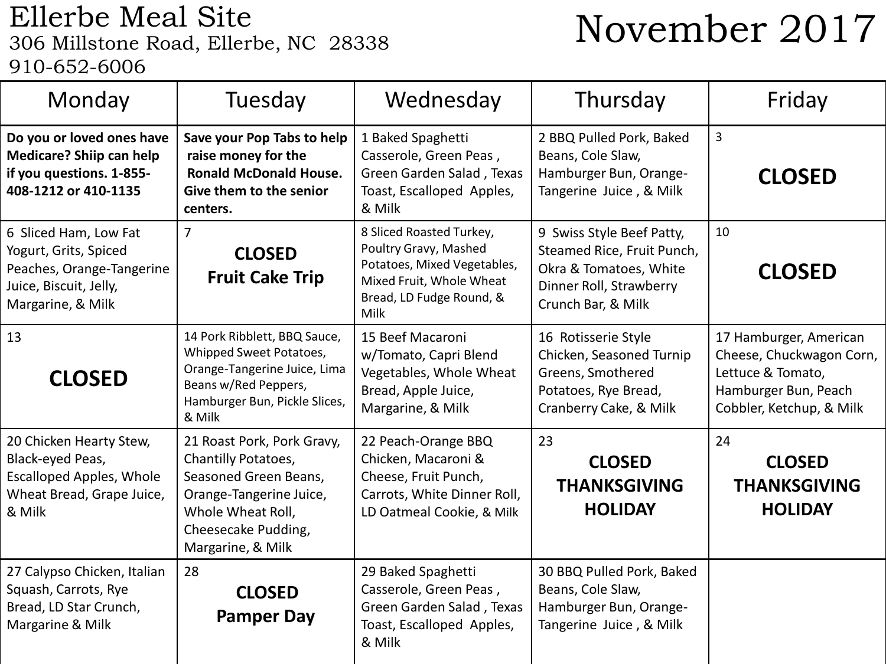## Ellerbe Meal Site<br>306 Millstone Road, Ellerbe, NC 28338 910-652-6006

# November 2017

| Monday                                                                                                                     | Tuesday                                                                                                                                                                | Wednesday                                                                                                                                        | Thursday                                                                                                                           | Friday                                                                                                                      |
|----------------------------------------------------------------------------------------------------------------------------|------------------------------------------------------------------------------------------------------------------------------------------------------------------------|--------------------------------------------------------------------------------------------------------------------------------------------------|------------------------------------------------------------------------------------------------------------------------------------|-----------------------------------------------------------------------------------------------------------------------------|
| Do you or loved ones have<br>Medicare? Shiip can help<br>if you questions. 1-855-<br>408-1212 or 410-1135                  | Save your Pop Tabs to help<br>raise money for the<br><b>Ronald McDonald House.</b><br>Give them to the senior<br>centers.                                              | 1 Baked Spaghetti<br>Casserole, Green Peas,<br>Green Garden Salad, Texas<br>Toast, Escalloped Apples,<br>& Milk                                  | 2 BBQ Pulled Pork, Baked<br>Beans, Cole Slaw,<br>Hamburger Bun, Orange-<br>Tangerine Juice, & Milk                                 | 3<br><b>CLOSED</b>                                                                                                          |
| 6 Sliced Ham, Low Fat<br>Yogurt, Grits, Spiced<br>Peaches, Orange-Tangerine<br>Juice, Biscuit, Jelly,<br>Margarine, & Milk | $\overline{7}$<br><b>CLOSED</b><br><b>Fruit Cake Trip</b>                                                                                                              | 8 Sliced Roasted Turkey,<br>Poultry Gravy, Mashed<br>Potatoes, Mixed Vegetables,<br>Mixed Fruit, Whole Wheat<br>Bread, LD Fudge Round, &<br>Milk | 9 Swiss Style Beef Patty,<br>Steamed Rice, Fruit Punch,<br>Okra & Tomatoes, White<br>Dinner Roll, Strawberry<br>Crunch Bar, & Milk | 10<br><b>CLOSED</b>                                                                                                         |
| 13<br><b>CLOSED</b>                                                                                                        | 14 Pork Ribblett, BBQ Sauce,<br>Whipped Sweet Potatoes,<br>Orange-Tangerine Juice, Lima<br>Beans w/Red Peppers,<br>Hamburger Bun, Pickle Slices,<br>& Milk             | 15 Beef Macaroni<br>w/Tomato, Capri Blend<br>Vegetables, Whole Wheat<br>Bread, Apple Juice,<br>Margarine, & Milk                                 | 16 Rotisserie Style<br>Chicken, Seasoned Turnip<br>Greens, Smothered<br>Potatoes, Rye Bread,<br>Cranberry Cake, & Milk             | 17 Hamburger, American<br>Cheese, Chuckwagon Corn,<br>Lettuce & Tomato,<br>Hamburger Bun, Peach<br>Cobbler, Ketchup, & Milk |
| 20 Chicken Hearty Stew,<br>Black-eyed Peas,<br><b>Escalloped Apples, Whole</b><br>Wheat Bread, Grape Juice,<br>& Milk      | 21 Roast Pork, Pork Gravy,<br>Chantilly Potatoes,<br>Seasoned Green Beans,<br>Orange-Tangerine Juice,<br>Whole Wheat Roll,<br>Cheesecake Pudding,<br>Margarine, & Milk | 22 Peach-Orange BBQ<br>Chicken, Macaroni &<br>Cheese, Fruit Punch,<br>Carrots, White Dinner Roll,<br>LD Oatmeal Cookie, & Milk                   | 23<br><b>CLOSED</b><br><b>THANKSGIVING</b><br><b>HOLIDAY</b>                                                                       | 24<br><b>CLOSED</b><br><b>THANKSGIVING</b><br><b>HOLIDAY</b>                                                                |
| 27 Calypso Chicken, Italian<br>Squash, Carrots, Rye<br>Bread, LD Star Crunch,<br>Margarine & Milk                          | 28<br><b>CLOSED</b><br><b>Pamper Day</b>                                                                                                                               | 29 Baked Spaghetti<br>Casserole, Green Peas,<br>Green Garden Salad, Texas<br>Toast, Escalloped Apples,<br>& Milk                                 | 30 BBQ Pulled Pork, Baked<br>Beans, Cole Slaw,<br>Hamburger Bun, Orange-<br>Tangerine Juice, & Milk                                |                                                                                                                             |